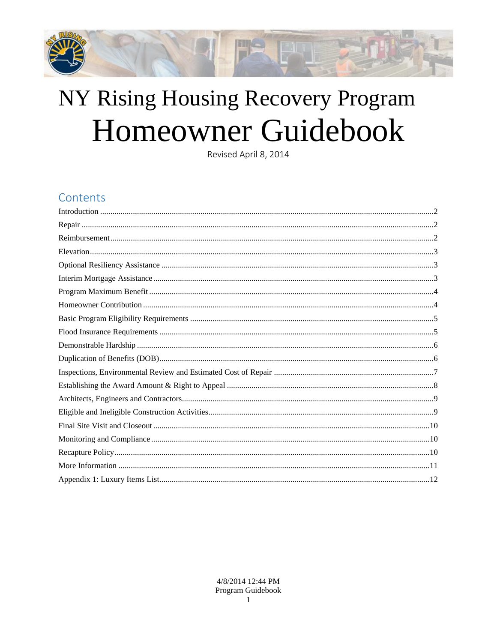

# NY Rising Housing Recovery Program Homeowner Guidebook

Revised April 8, 2014

# Contents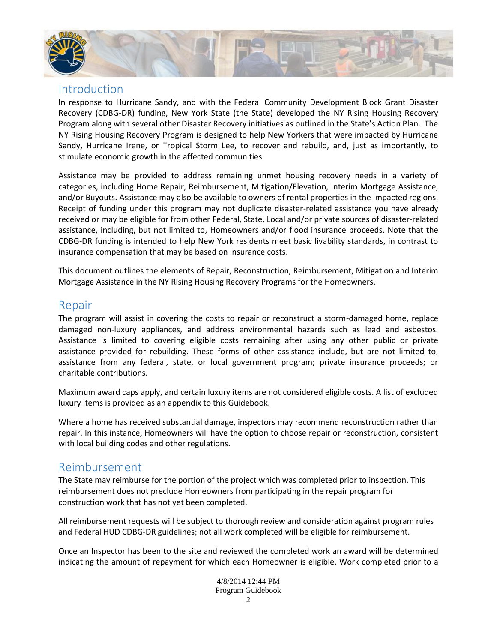

#### <span id="page-1-0"></span>Introduction

In response to Hurricane Sandy, and with the Federal Community Development Block Grant Disaster Recovery (CDBG-DR) funding, New York State (the State) developed the NY Rising Housing Recovery Program along with several other Disaster Recovery initiatives as outlined in the State's Action Plan. The NY Rising Housing Recovery Program is designed to help New Yorkers that were impacted by Hurricane Sandy, Hurricane Irene, or Tropical Storm Lee, to recover and rebuild, and, just as importantly, to stimulate economic growth in the affected communities.

Assistance may be provided to address remaining unmet housing recovery needs in a variety of categories, including Home Repair, Reimbursement, Mitigation/Elevation, Interim Mortgage Assistance, and/or Buyouts. Assistance may also be available to owners of rental properties in the impacted regions. Receipt of funding under this program may not duplicate disaster-related assistance you have already received or may be eligible for from other Federal, State, Local and/or private sources of disaster-related assistance, including, but not limited to, Homeowners and/or flood insurance proceeds. Note that the CDBG-DR funding is intended to help New York residents meet basic livability standards, in contrast to insurance compensation that may be based on insurance costs.

This document outlines the elements of Repair, Reconstruction, Reimbursement, Mitigation and Interim Mortgage Assistance in the NY Rising Housing Recovery Programs for the Homeowners.

### <span id="page-1-1"></span>Repair

The program will assist in covering the costs to repair or reconstruct a storm-damaged home, replace damaged non-luxury appliances, and address environmental hazards such as lead and asbestos. Assistance is limited to covering eligible costs remaining after using any other public or private assistance provided for rebuilding. These forms of other assistance include, but are not limited to, assistance from any federal, state, or local government program; private insurance proceeds; or charitable contributions.

Maximum award caps apply, and certain luxury items are not considered eligible costs. A list of excluded luxury items is provided as an appendix to this Guidebook.

Where a home has received substantial damage, inspectors may recommend reconstruction rather than repair. In this instance, Homeowners will have the option to choose repair or reconstruction, consistent with local building codes and other regulations.

#### <span id="page-1-2"></span>Reimbursement

The State may reimburse for the portion of the project which was completed prior to inspection. This reimbursement does not preclude Homeowners from participating in the repair program for construction work that has not yet been completed.

All reimbursement requests will be subject to thorough review and consideration against program rules and Federal HUD CDBG-DR guidelines; not all work completed will be eligible for reimbursement.

Once an Inspector has been to the site and reviewed the completed work an award will be determined indicating the amount of repayment for which each Homeowner is eligible. Work completed prior to a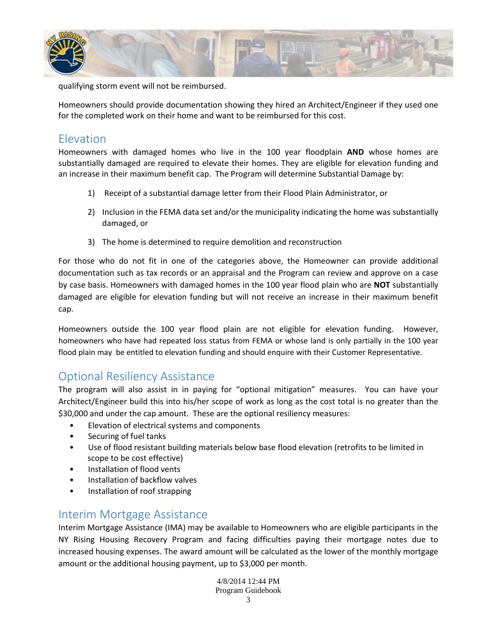

qualifying storm event will not be reimbursed.

Homeowners should provide documentation showing they hired an Architect/Engineer if they used one for the completed work on their home and want to be reimbursed for this cost.

## <span id="page-2-0"></span>Elevation

Homeowners with damaged homes who live in the 100 year floodplain **AND** whose homes are substantially damaged are required to elevate their homes. They are eligible for elevation funding and an increase in their maximum benefit cap. The Program will determine Substantial Damage by:

- 1) Receipt of a substantial damage letter from their Flood Plain Administrator, or
- 2) Inclusion in the FEMA data set and/or the municipality indicating the home was substantially damaged, or
- 3) The home is determined to require demolition and reconstruction

For those who do not fit in one of the categories above, the Homeowner can provide additional documentation such as tax records or an appraisal and the Program can review and approve on a case by case basis. Homeowners with damaged homes in the 100 year flood plain who are **NOT** substantially damaged are eligible for elevation funding but will not receive an increase in their maximum benefit cap.

Homeowners outside the 100 year flood plain are not eligible for elevation funding. However, homeowners who have had repeated loss status from FEMA or whose land is only partially in the 100 year flood plain may be entitled to elevation funding and should enquire with their Customer Representative.

#### <span id="page-2-1"></span>Optional Resiliency Assistance

The program will also assist in in paying for "optional mitigation" measures. You can have your Architect/Engineer build this into his/her scope of work as long as the cost total is no greater than the \$30,000 and under the cap amount. These are the optional resiliency measures:

- Elevation of electrical systems and components
- Securing of fuel tanks
- Use of flood resistant building materials below base flood elevation (retrofits to be limited in scope to be cost effective)
- Installation of flood vents
- Installation of backflow valves
- Installation of roof strapping

#### <span id="page-2-2"></span>Interim Mortgage Assistance

Interim Mortgage Assistance (IMA) may be available to Homeowners who are eligible participants in the NY Rising Housing Recovery Program and facing difficulties paying their mortgage notes due to increased housing expenses. The award amount will be calculated as the lower of the monthly mortgage amount or the additional housing payment, up to \$3,000 per month.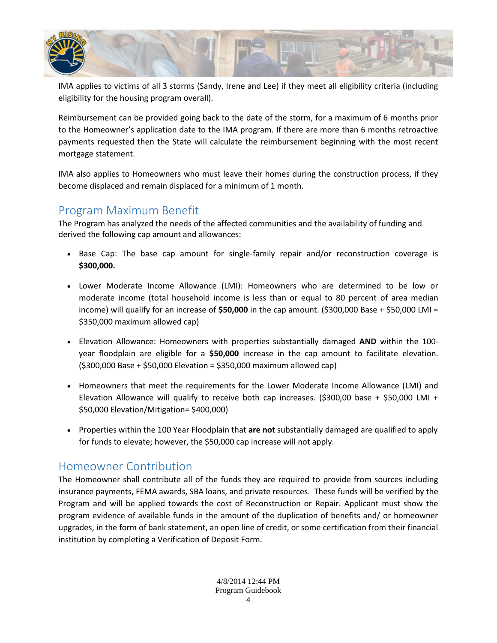

IMA applies to victims of all 3 storms (Sandy, Irene and Lee) if they meet all eligibility criteria (including eligibility for the housing program overall).

Reimbursement can be provided going back to the date of the storm, for a maximum of 6 months prior to the Homeowner's application date to the IMA program. If there are more than 6 months retroactive payments requested then the State will calculate the reimbursement beginning with the most recent mortgage statement.

IMA also applies to Homeowners who must leave their homes during the construction process, if they become displaced and remain displaced for a minimum of 1 month.

## <span id="page-3-0"></span>Program Maximum Benefit

The Program has analyzed the needs of the affected communities and the availability of funding and derived the following cap amount and allowances:

- Base Cap: The base cap amount for single-family repair and/or reconstruction coverage is **\$300,000.**
- Lower Moderate Income Allowance (LMI): Homeowners who are determined to be low or moderate income (total household income is less than or equal to 80 percent of area median income) will qualify for an increase of **\$50,000** in the cap amount. (\$300,000 Base + \$50,000 LMI = \$350,000 maximum allowed cap)
- Elevation Allowance: Homeowners with properties substantially damaged **AND** within the 100 year floodplain are eligible for a **\$50,000** increase in the cap amount to facilitate elevation. (\$300,000 Base + \$50,000 Elevation = \$350,000 maximum allowed cap)
- Homeowners that meet the requirements for the Lower Moderate Income Allowance (LMI) and Elevation Allowance will qualify to receive both cap increases. (\$300,00 base + \$50,000 LMI + \$50,000 Elevation/Mitigation= \$400,000)
- Properties within the 100 Year Floodplain that **are not** substantially damaged are qualified to apply for funds to elevate; however, the \$50,000 cap increase will not apply.

## <span id="page-3-1"></span>Homeowner Contribution

The Homeowner shall contribute all of the funds they are required to provide from sources including insurance payments, FEMA awards, SBA loans, and private resources. These funds will be verified by the Program and will be applied towards the cost of Reconstruction or Repair. Applicant must show the program evidence of available funds in the amount of the duplication of benefits and/ or homeowner upgrades, in the form of bank statement, an open line of credit, or some certification from their financial institution by completing a Verification of Deposit Form.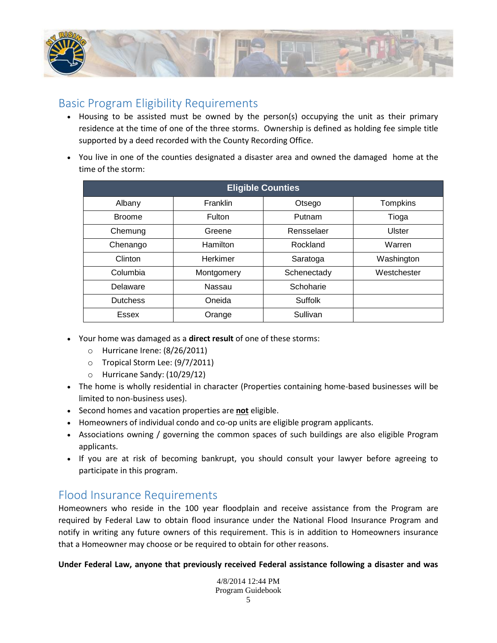

## <span id="page-4-0"></span>Basic Program Eligibility Requirements

- Housing to be assisted must be owned by the person(s) occupying the unit as their primary residence at the time of one of the three storms. Ownership is defined as holding fee simple title supported by a deed recorded with the County Recording Office.
- You live in one of the counties designated a disaster area and owned the damaged home at the time of the storm:

| <b>Eligible Counties</b> |            |                |                 |  |
|--------------------------|------------|----------------|-----------------|--|
| Albany                   | Franklin   | Otsego         | <b>Tompkins</b> |  |
| <b>Broome</b>            | Fulton     | Putnam         | Tioga           |  |
| Chemung                  | Greene     | Rensselaer     | <b>Ulster</b>   |  |
| Chenango                 | Hamilton   | Rockland       | Warren          |  |
| Clinton                  | Herkimer   | Saratoga       | Washington      |  |
| Columbia                 | Montgomery | Schenectady    | Westchester     |  |
| Delaware                 | Nassau     | Schoharie      |                 |  |
| <b>Dutchess</b>          | Oneida     | <b>Suffolk</b> |                 |  |
| <b>Essex</b>             | Orange     | Sullivan       |                 |  |

- Your home was damaged as a **direct result** of one of these storms:
	- o Hurricane Irene: (8/26/2011)
	- o Tropical Storm Lee: (9/7/2011)
	- o Hurricane Sandy: (10/29/12)
- The home is wholly residential in character (Properties containing home-based businesses will be limited to non-business uses).
- Second homes and vacation properties are **not** eligible.
- Homeowners of individual condo and co-op units are eligible program applicants.
- Associations owning / governing the common spaces of such buildings are also eligible Program applicants.
- If you are at risk of becoming bankrupt, you should consult your lawyer before agreeing to participate in this program.

#### <span id="page-4-1"></span>Flood Insurance Requirements

Homeowners who reside in the 100 year floodplain and receive assistance from the Program are required by Federal Law to obtain flood insurance under the National Flood Insurance Program and notify in writing any future owners of this requirement. This is in addition to Homeowners insurance that a Homeowner may choose or be required to obtain for other reasons.

**Under Federal Law, anyone that previously received Federal assistance following a disaster and was**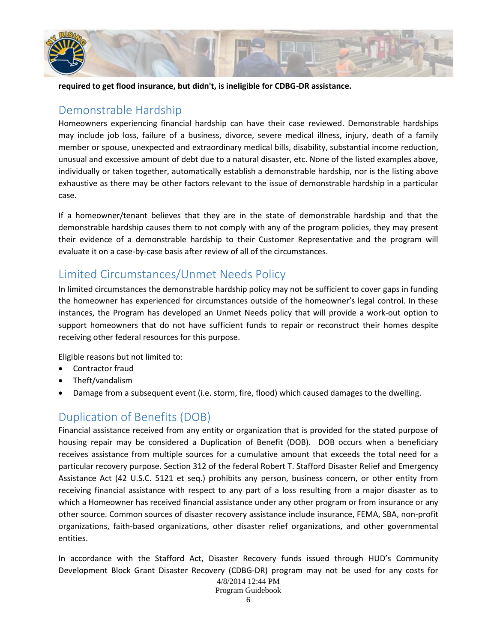

<span id="page-5-0"></span>**required to get flood insurance, but didn't, is ineligible for CDBG-DR assistance.** 

## Demonstrable Hardship

Homeowners experiencing financial hardship can have their case reviewed. Demonstrable hardships may include job loss, failure of a business, divorce, severe medical illness, injury, death of a family member or spouse, unexpected and extraordinary medical bills, disability, substantial income reduction, unusual and excessive amount of debt due to a natural disaster, etc. None of the listed examples above, individually or taken together, automatically establish a demonstrable hardship, nor is the listing above exhaustive as there may be other factors relevant to the issue of demonstrable hardship in a particular case.

If a homeowner/tenant believes that they are in the state of demonstrable hardship and that the demonstrable hardship causes them to not comply with any of the program policies, they may present their evidence of a demonstrable hardship to their Customer Representative and the program will evaluate it on a case-by-case basis after review of all of the circumstances.

# Limited Circumstances/Unmet Needs Policy

In limited circumstances the demonstrable hardship policy may not be sufficient to cover gaps in funding the homeowner has experienced for circumstances outside of the homeowner's legal control. In these instances, the Program has developed an Unmet Needs policy that will provide a work-out option to support homeowners that do not have sufficient funds to repair or reconstruct their homes despite receiving other federal resources for this purpose.

Eligible reasons but not limited to:

- Contractor fraud
- Theft/vandalism
- <span id="page-5-1"></span>Damage from a subsequent event (i.e. storm, fire, flood) which caused damages to the dwelling.

## Duplication of Benefits (DOB)

Financial assistance received from any entity or organization that is provided for the stated purpose of housing repair may be considered a Duplication of Benefit (DOB). DOB occurs when a beneficiary receives assistance from multiple sources for a cumulative amount that exceeds the total need for a particular recovery purpose. Section 312 of the federal Robert T. Stafford Disaster Relief and Emergency Assistance Act (42 U.S.C. 5121 et seq.) prohibits any person, business concern, or other entity from receiving financial assistance with respect to any part of a loss resulting from a major disaster as to which a Homeowner has received financial assistance under any other program or from insurance or any other source. Common sources of disaster recovery assistance include insurance, FEMA, SBA, non-profit organizations, faith-based organizations, other disaster relief organizations, and other governmental entities.

In accordance with the Stafford Act, Disaster Recovery funds issued through HUD's Community Development Block Grant Disaster Recovery (CDBG-DR) program may not be used for any costs for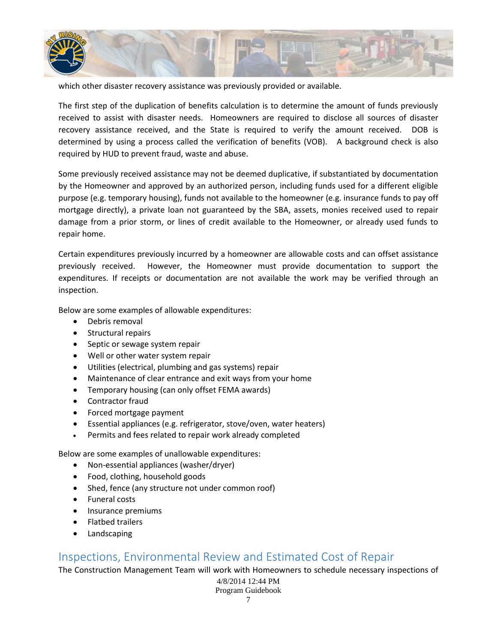

which other disaster recovery assistance was previously provided or available.

The first step of the duplication of benefits calculation is to determine the amount of funds previously received to assist with disaster needs. Homeowners are required to disclose all sources of disaster recovery assistance received, and the State is required to verify the amount received. DOB is determined by using a process called the verification of benefits (VOB). A background check is also required by HUD to prevent fraud, waste and abuse.

Some previously received assistance may not be deemed duplicative, if substantiated by documentation by the Homeowner and approved by an authorized person, including funds used for a different eligible purpose (e.g. temporary housing), funds not available to the homeowner (e.g. insurance funds to pay off mortgage directly), a private loan not guaranteed by the SBA, assets, monies received used to repair damage from a prior storm, or lines of credit available to the Homeowner, or already used funds to repair home.

Certain expenditures previously incurred by a homeowner are allowable costs and can offset assistance previously received. However, the Homeowner must provide documentation to support the expenditures. If receipts or documentation are not available the work may be verified through an inspection.

Below are some examples of allowable expenditures:

- Debris removal
- Structural repairs
- Septic or sewage system repair
- Well or other water system repair
- Utilities (electrical, plumbing and gas systems) repair
- Maintenance of clear entrance and exit ways from your home
- Temporary housing (can only offset FEMA awards)
- Contractor fraud
- Forced mortgage payment
- Essential appliances (e.g. refrigerator, stove/oven, water heaters)
- Permits and fees related to repair work already completed

Below are some examples of unallowable expenditures:

- Non-essential appliances (washer/dryer)
- Food, clothing, household goods
- Shed, fence (any structure not under common roof)
- Funeral costs
- Insurance premiums
- Flatbed trailers
- Landscaping

#### <span id="page-6-0"></span>Inspections, Environmental Review and Estimated Cost of Repair

The Construction Management Team will work with Homeowners to schedule necessary inspections of

4/8/2014 12:44 PM Program Guidebook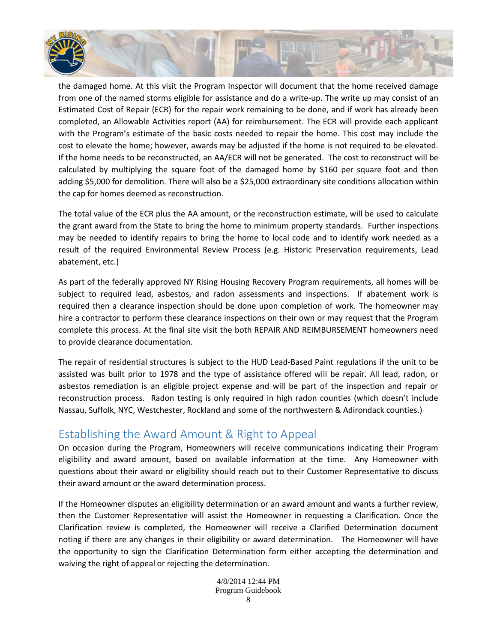

the damaged home. At this visit the Program Inspector will document that the home received damage from one of the named storms eligible for assistance and do a write-up. The write up may consist of an Estimated Cost of Repair (ECR) for the repair work remaining to be done, and if work has already been completed, an Allowable Activities report (AA) for reimbursement. The ECR will provide each applicant with the Program's estimate of the basic costs needed to repair the home. This cost may include the cost to elevate the home; however, awards may be adjusted if the home is not required to be elevated. If the home needs to be reconstructed, an AA/ECR will not be generated. The cost to reconstruct will be calculated by multiplying the square foot of the damaged home by \$160 per square foot and then adding \$5,000 for demolition. There will also be a \$25,000 extraordinary site conditions allocation within the cap for homes deemed as reconstruction.

The total value of the ECR plus the AA amount, or the reconstruction estimate, will be used to calculate the grant award from the State to bring the home to minimum property standards. Further inspections may be needed to identify repairs to bring the home to local code and to identify work needed as a result of the required Environmental Review Process (e.g. Historic Preservation requirements, Lead abatement, etc.)

As part of the federally approved NY Rising Housing Recovery Program requirements, all homes will be subject to required lead, asbestos, and radon assessments and inspections. If abatement work is required then a clearance inspection should be done upon completion of work. The homeowner may hire a contractor to perform these clearance inspections on their own or may request that the Program complete this process. At the final site visit the both REPAIR AND REIMBURSEMENT homeowners need to provide clearance documentation.

The repair of residential structures is subject to the HUD Lead-Based Paint regulations if the unit to be assisted was built prior to 1978 and the type of assistance offered will be repair. All lead, radon, or asbestos remediation is an eligible project expense and will be part of the inspection and repair or reconstruction process. Radon testing is only required in high radon counties (which doesn't include Nassau, Suffolk, NYC, Westchester, Rockland and some of the northwestern & Adirondack counties.)

## <span id="page-7-0"></span>Establishing the Award Amount & Right to Appeal

On occasion during the Program, Homeowners will receive communications indicating their Program eligibility and award amount, based on available information at the time. Any Homeowner with questions about their award or eligibility should reach out to their Customer Representative to discuss their award amount or the award determination process.

If the Homeowner disputes an eligibility determination or an award amount and wants a further review, then the Customer Representative will assist the Homeowner in requesting a Clarification. Once the Clarification review is completed, the Homeowner will receive a Clarified Determination document noting if there are any changes in their eligibility or award determination. The Homeowner will have the opportunity to sign the Clarification Determination form either accepting the determination and waiving the right of appeal or rejecting the determination.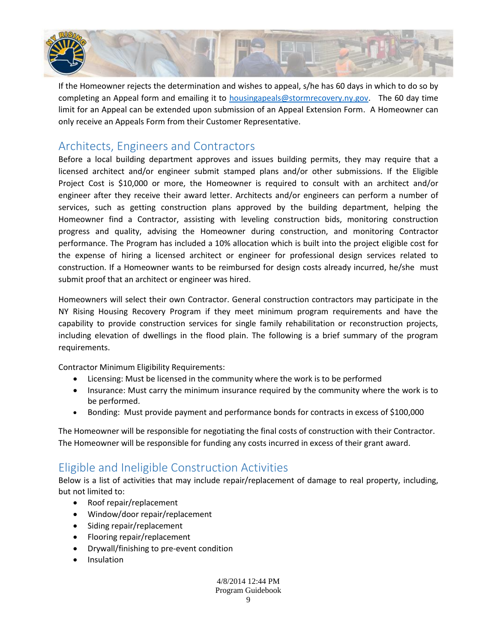

If the Homeowner rejects the determination and wishes to appeal, s/he has 60 days in which to do so by completing an Appeal form and emailing it to [housingapeals@stormrecovery.ny.gov.](mailto:housingapeals@stormrecovery.ny.gov) The 60 day time limit for an Appeal can be extended upon submission of an Appeal Extension Form. A Homeowner can only receive an Appeals Form from their Customer Representative.

## <span id="page-8-0"></span>Architects, Engineers and Contractors

Before a local building department approves and issues building permits, they may require that a licensed architect and/or engineer submit stamped plans and/or other submissions. If the Eligible Project Cost is \$10,000 or more, the Homeowner is required to consult with an architect and/or engineer after they receive their award letter. Architects and/or engineers can perform a number of services, such as getting construction plans approved by the building department, helping the Homeowner find a Contractor, assisting with leveling construction bids, monitoring construction progress and quality, advising the Homeowner during construction, and monitoring Contractor performance. The Program has included a 10% allocation which is built into the project eligible cost for the expense of hiring a licensed architect or engineer for professional design services related to construction. If a Homeowner wants to be reimbursed for design costs already incurred, he/she must submit proof that an architect or engineer was hired.

Homeowners will select their own Contractor. General construction contractors may participate in the NY Rising Housing Recovery Program if they meet minimum program requirements and have the capability to provide construction services for single family rehabilitation or reconstruction projects, including elevation of dwellings in the flood plain. The following is a brief summary of the program requirements.

Contractor Minimum Eligibility Requirements:

- Licensing: Must be licensed in the community where the work is to be performed
- Insurance: Must carry the minimum insurance required by the community where the work is to be performed.
- Bonding: Must provide payment and performance bonds for contracts in excess of \$100,000

The Homeowner will be responsible for negotiating the final costs of construction with their Contractor. The Homeowner will be responsible for funding any costs incurred in excess of their grant award.

## <span id="page-8-1"></span>Eligible and Ineligible Construction Activities

Below is a list of activities that may include repair/replacement of damage to real property, including, but not limited to:

- Roof repair/replacement
- Window/door repair/replacement
- Siding repair/replacement
- Flooring repair/replacement
- Drywall/finishing to pre-event condition
- Insulation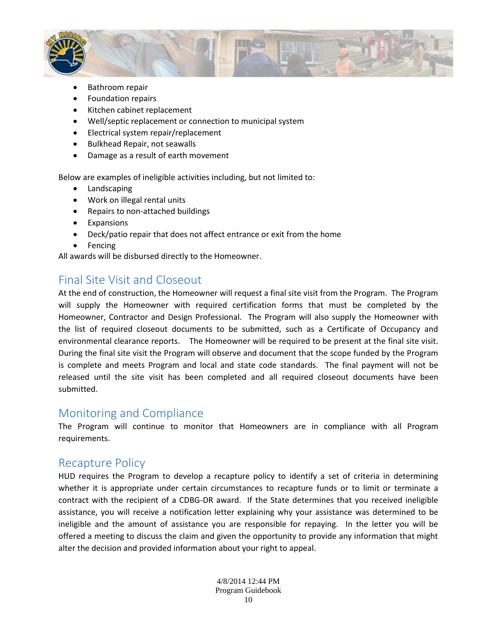

- Bathroom repair
- Foundation repairs
- Kitchen cabinet replacement
- Well/septic replacement or connection to municipal system
- Electrical system repair/replacement
- Bulkhead Repair, not seawalls
- Damage as a result of earth movement

Below are examples of ineligible activities including, but not limited to:

- Landscaping
- Work on illegal rental units
- Repairs to non-attached buildings
- Expansions
- Deck/patio repair that does not affect entrance or exit from the home
- Fencing

<span id="page-9-0"></span>All awards will be disbursed directly to the Homeowner.

## Final Site Visit and Closeout

At the end of construction, the Homeowner will request a final site visit from the Program. The Program will supply the Homeowner with required certification forms that must be completed by the Homeowner, Contractor and Design Professional. The Program will also supply the Homeowner with the list of required closeout documents to be submitted, such as a Certificate of Occupancy and environmental clearance reports. The Homeowner will be required to be present at the final site visit. During the final site visit the Program will observe and document that the scope funded by the Program is complete and meets Program and local and state code standards. The final payment will not be released until the site visit has been completed and all required closeout documents have been submitted.

#### <span id="page-9-1"></span>Monitoring and Compliance

The Program will continue to monitor that Homeowners are in compliance with all Program requirements.

## <span id="page-9-2"></span>Recapture Policy

HUD requires the Program to develop a recapture policy to identify a set of criteria in determining whether it is appropriate under certain circumstances to recapture funds or to limit or terminate a contract with the recipient of a CDBG-DR award. If the State determines that you received ineligible assistance, you will receive a notification letter explaining why your assistance was determined to be ineligible and the amount of assistance you are responsible for repaying. In the letter you will be offered a meeting to discuss the claim and given the opportunity to provide any information that might alter the decision and provided information about your right to appeal.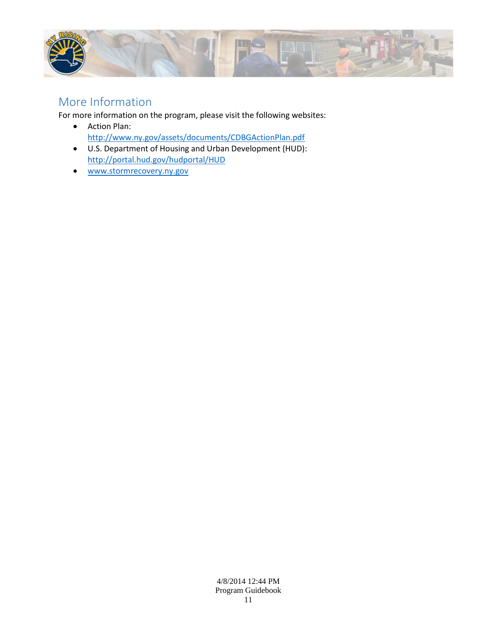

## <span id="page-10-0"></span>More Information

For more information on the program, please visit the following websites:

- Action Plan: <http://www.ny.gov/assets/documents/CDBGActionPlan.pdf>
- U.S. Department of Housing and Urban Development (HUD): <http://portal.hud.gov/hudportal/HUD>
- [www.stormrecovery.ny.gov](http://www.stormrecovery.ny.gov/)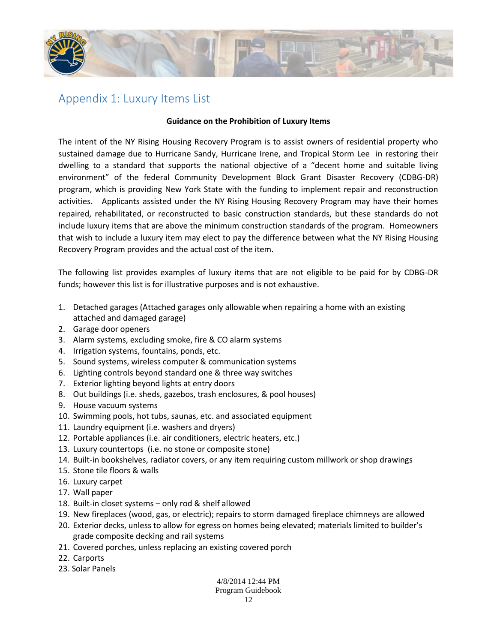

## <span id="page-11-0"></span>Appendix 1: Luxury Items List

#### **Guidance on the Prohibition of Luxury Items**

The intent of the NY Rising Housing Recovery Program is to assist owners of residential property who sustained damage due to Hurricane Sandy, Hurricane Irene, and Tropical Storm Lee in restoring their dwelling to a standard that supports the national objective of a "decent home and suitable living environment" of the federal Community Development Block Grant Disaster Recovery (CDBG-DR) program, which is providing New York State with the funding to implement repair and reconstruction activities. Applicants assisted under the NY Rising Housing Recovery Program may have their homes repaired, rehabilitated, or reconstructed to basic construction standards, but these standards do not include luxury items that are above the minimum construction standards of the program. Homeowners that wish to include a luxury item may elect to pay the difference between what the NY Rising Housing Recovery Program provides and the actual cost of the item.

The following list provides examples of luxury items that are not eligible to be paid for by CDBG-DR funds; however this list is for illustrative purposes and is not exhaustive.

- 1. Detached garages (Attached garages only allowable when repairing a home with an existing attached and damaged garage)
- 2. Garage door openers
- 3. Alarm systems, excluding smoke, fire & CO alarm systems
- 4. Irrigation systems, fountains, ponds, etc.
- 5. Sound systems, wireless computer & communication systems
- 6. Lighting controls beyond standard one & three way switches
- 7. Exterior lighting beyond lights at entry doors
- 8. Out buildings (i.e. sheds, gazebos, trash enclosures, & pool houses)
- 9. House vacuum systems
- 10. Swimming pools, hot tubs, saunas, etc. and associated equipment
- 11. Laundry equipment (i.e. washers and dryers)
- 12. Portable appliances (i.e. air conditioners, electric heaters, etc.)
- 13. Luxury countertops (i.e. no stone or composite stone)
- 14. Built-in bookshelves, radiator covers, or any item requiring custom millwork or shop drawings
- 15. Stone tile floors & walls
- 16. Luxury carpet
- 17. Wall paper
- 18. Built-in closet systems only rod & shelf allowed
- 19. New fireplaces (wood, gas, or electric); repairs to storm damaged fireplace chimneys are allowed
- 20. Exterior decks, unless to allow for egress on homes being elevated; materials limited to builder's grade composite decking and rail systems
- 21. Covered porches, unless replacing an existing covered porch
- 22. Carports
- 23. Solar Panels

#### 4/8/2014 12:44 PM

Program Guidebook